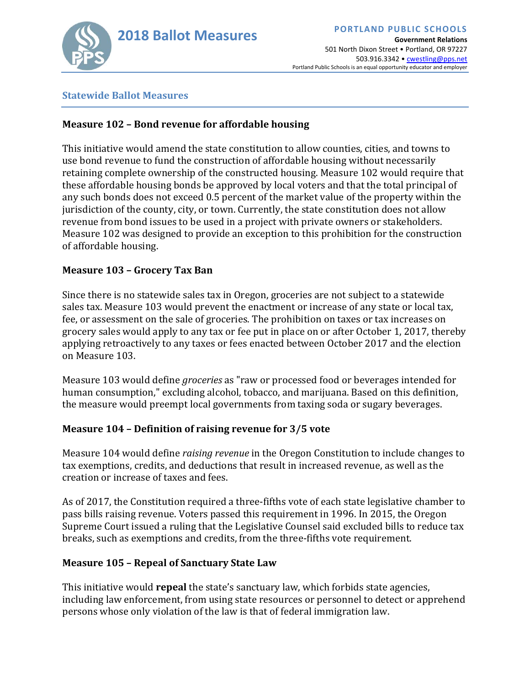

**Government Relations** 501 North Dixon Street • Portland, OR 97227 503.916.3342 • cwestling@pps.net Portland Public Schools is an equal opportunity educator and employer

### **Statewide Ballot Measures**

## **Measure 102 – Bond revenue for affordable housing**

This initiative would amend the state constitution to allow counties, cities, and towns to use bond revenue to fund the construction of affordable housing without necessarily retaining complete ownership of the constructed housing. Measure 102 would require that these affordable housing bonds be approved by local voters and that the total principal of any such bonds does not exceed 0.5 percent of the market value of the property within the jurisdiction of the county, city, or town. Currently, the state constitution does not allow revenue from bond issues to be used in a project with private owners or stakeholders. Measure 102 was designed to provide an exception to this prohibition for the construction of affordable housing.

## **Measure 103 – Grocery Tax Ban**

Since there is no statewide sales tax in Oregon, groceries are not subject to a statewide sales tax. Measure 103 would prevent the enactment or increase of any state or local tax, fee, or assessment on the sale of groceries. The prohibition on taxes or tax increases on grocery sales would apply to any tax or fee put in place on or after October 1, 2017, thereby applying retroactively to any taxes or fees enacted between October 2017 and the election on Measure 103.

Measure 103 would define *groceries* as "raw or processed food or beverages intended for human consumption," excluding alcohol, tobacco, and marijuana. Based on this definition, the measure would preempt local governments from taxing soda or sugary beverages.

## **Measure 104 – Definition of raising revenue for 3/5 vote**

Measure 104 would define *raising revenue* in the Oregon Constitution to include changes to tax exemptions, credits, and deductions that result in increased revenue, as well as the creation or increase of taxes and fees.

As of 2017, the Constitution required a three-fifths vote of each state legislative chamber to pass bills raising revenue. Voters passed this requirement in 1996. In 2015, the Oregon Supreme Court issued a ruling that the Legislative Counsel said excluded bills to reduce tax breaks, such as exemptions and credits, from the three-fifths vote requirement.

## **Measure 105 – Repeal of Sanctuary State Law**

This initiative would **repeal** the state's sanctuary law, which forbids state agencies, including law enforcement, from using state resources or personnel to detect or apprehend persons whose only violation of the law is that of federal immigration law.